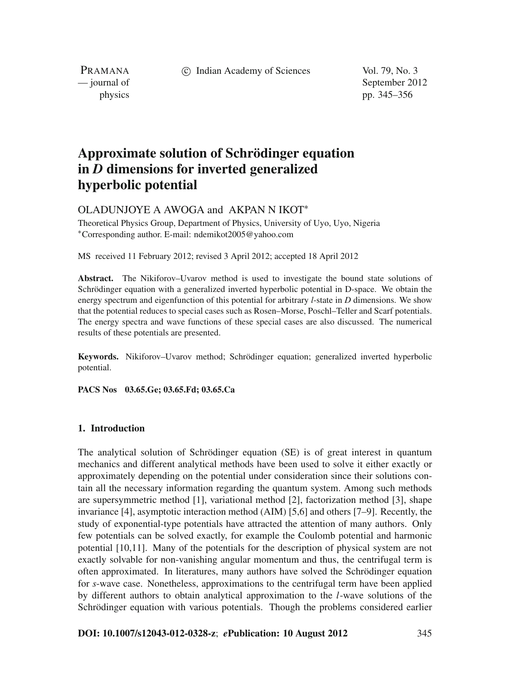c Indian Academy of Sciences Vol. 79, No. 3

PRAMANA

— journal of September 2012 physics pp. 345–356

# **Approximate solution of Schrödinger equation in** *D* **dimensions for inverted generalized hyperbolic potential**

## OLADUNJOYE A AWOGA and AKPAN N IKOT<sup>∗</sup>

Theoretical Physics Group, Department of Physics, University of Uyo, Uyo, Nigeria <sup>∗</sup>Corresponding author. E-mail: ndemikot2005@yahoo.com

MS received 11 February 2012; revised 3 April 2012; accepted 18 April 2012

**Abstract.** The Nikiforov–Uvarov method is used to investigate the bound state solutions of Schrödinger equation with a generalized inverted hyperbolic potential in D-space. We obtain the energy spectrum and eigenfunction of this potential for arbitrary *l*-state in *D* dimensions. We show that the potential reduces to special cases such as Rosen–Morse, Poschl–Teller and Scarf potentials. The energy spectra and wave functions of these special cases are also discussed. The numerical results of these potentials are presented.

**Keywords.** Nikiforov–Uvarov method; Schrödinger equation; generalized inverted hyperbolic potential.

**PACS Nos 03.65.Ge; 03.65.Fd; 03.65.Ca**

## **1. Introduction**

The analytical solution of Schrödinger equation (SE) is of great interest in quantum mechanics and different analytical methods have been used to solve it either exactly or approximately depending on the potential under consideration since their solutions contain all the necessary information regarding the quantum system. Among such methods are supersymmetric method [1], variational method [2], factorization method [3], shape invariance [4], asymptotic interaction method (AIM) [5,6] and others [7–9]. Recently, the study of exponential-type potentials have attracted the attention of many authors. Only few potentials can be solved exactly, for example the Coulomb potential and harmonic potential [10,11]. Many of the potentials for the description of physical system are not exactly solvable for non-vanishing angular momentum and thus, the centrifugal term is often approximated. In literatures, many authors have solved the Schrödinger equation for *s*-wave case. Nonetheless, approximations to the centrifugal term have been applied by different authors to obtain analytical approximation to the *l*-wave solutions of the Schrödinger equation with various potentials. Though the problems considered earlier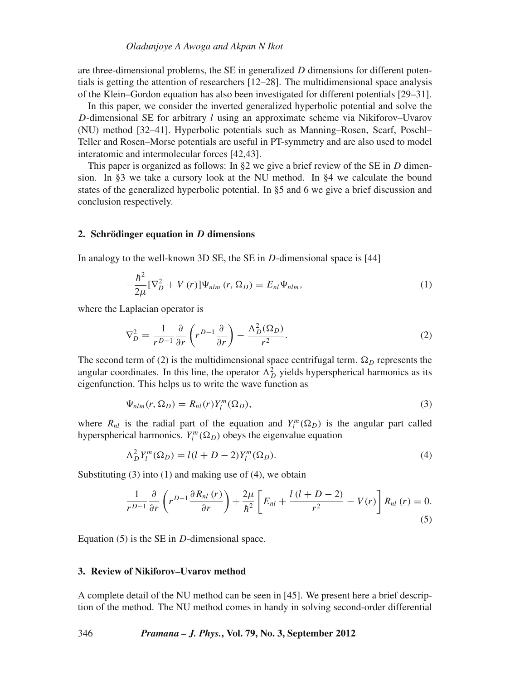are three-dimensional problems, the SE in generalized *D* dimensions for different potentials is getting the attention of researchers [12–28]. The multidimensional space analysis of the Klein–Gordon equation has also been investigated for different potentials [29–31].

In this paper, we consider the inverted generalized hyperbolic potential and solve the *D*-dimensional SE for arbitrary *l* using an approximate scheme via Nikiforov–Uvarov (NU) method [32–41]. Hyperbolic potentials such as Manning–Rosen, Scarf, Poschl– Teller and Rosen–Morse potentials are useful in PT-symmetry and are also used to model interatomic and intermolecular forces [42,43].

This paper is organized as follows: In §2 we give a brief review of the SE in *D* dimension. In §3 we take a cursory look at the NU method. In §4 we calculate the bound states of the generalized hyperbolic potential. In §5 and 6 we give a brief discussion and conclusion respectively.

## **2. Schrödinger equation in** *D* **dimensions**

In analogy to the well-known 3D SE, the SE in *D*-dimensional space is [44]

$$
-\frac{\hbar^2}{2\mu}[\nabla_D^2 + V(r)]\Psi_{nlm}(r,\Omega_D) = E_{nl}\Psi_{nlm},\tag{1}
$$

where the Laplacian operator is

$$
\nabla_D^2 = \frac{1}{r^{D-1}} \frac{\partial}{\partial r} \left( r^{D-1} \frac{\partial}{\partial r} \right) - \frac{\Lambda_D^2(\Omega_D)}{r^2}.
$$
 (2)

The second term of (2) is the multidimensional space centrifugal term.  $\Omega_D$  represents the angular coordinates. In this line, the operator  $\Lambda_D^2$  yields hyperspherical harmonics as its eigenfunction. This helps us to write the wave function as

$$
\Psi_{nlm}(r,\Omega_D) = R_{nl}(r)Y_l^m(\Omega_D),\tag{3}
$$

where  $R_{nl}$  is the radial part of the equation and  $Y_l^m(\Omega_D)$  is the angular part called hyperspherical harmonics.  $Y_l^m(\Omega_D)$  obeys the eigenvalue equation

$$
\Lambda_D^2 Y_l^m(\Omega_D) = l(l + D - 2) Y_l^m(\Omega_D). \tag{4}
$$

Substituting  $(3)$  into  $(1)$  and making use of  $(4)$ , we obtain

$$
\frac{1}{r^{D-1}}\frac{\partial}{\partial r}\left(r^{D-1}\frac{\partial R_{nl}(r)}{\partial r}\right) + \frac{2\mu}{\hbar^2}\left[E_{nl} + \frac{l(l+D-2)}{r^2} - V(r)\right]R_{nl}(r) = 0.
$$
\n(5)

Equation (5) is the SE in *D*-dimensional space.

## **3. Review of Nikiforov–Uvarov method**

A complete detail of the NU method can be seen in [45]. We present here a brief description of the method. The NU method comes in handy in solving second-order differential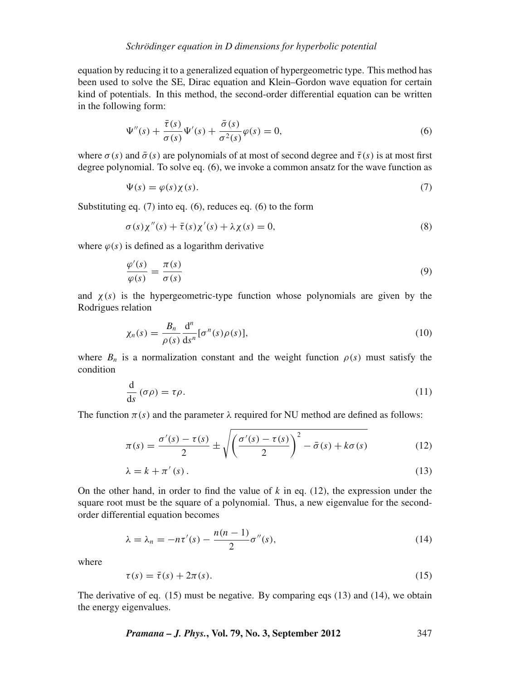equation by reducing it to a generalized equation of hypergeometric type. This method has been used to solve the SE, Dirac equation and Klein–Gordon wave equation for certain kind of potentials. In this method, the second-order differential equation can be written in the following form:

$$
\Psi''(s) + \frac{\bar{\tau}(s)}{\sigma(s)} \Psi'(s) + \frac{\bar{\sigma}(s)}{\sigma^2(s)} \varphi(s) = 0,
$$
\n(6)

where  $\sigma(s)$  and  $\bar{\sigma}(s)$  are polynomials of at most of second degree and  $\bar{\tau}(s)$  is at most first degree polynomial. To solve eq. (6), we invoke a common ansatz for the wave function as

$$
\Psi(s) = \varphi(s)\chi(s). \tag{7}
$$

Substituting eq. (7) into eq. (6), reduces eq. (6) to the form

$$
\sigma(s)\chi''(s) + \bar{\tau}(s)\chi'(s) + \lambda\chi(s) = 0,
$$
\n(8)

where  $\varphi(s)$  is defined as a logarithm derivative

$$
\frac{\varphi'(s)}{\varphi(s)} = \frac{\pi(s)}{\sigma(s)}\tag{9}
$$

and  $\chi(s)$  is the hypergeometric-type function whose polynomials are given by the Rodrigues relation

$$
\chi_n(s) = \frac{B_n}{\rho(s)} \frac{d^n}{ds^n} [\sigma^n(s)\rho(s)],\tag{10}
$$

where  $B_n$  is a normalization constant and the weight function  $\rho(s)$  must satisfy the condition

$$
\frac{\mathrm{d}}{\mathrm{d}s}(\sigma\rho) = \tau\rho. \tag{11}
$$

The function  $\pi(s)$  and the parameter  $\lambda$  required for NU method are defined as follows:

$$
\pi(s) = \frac{\sigma'(s) - \tau(s)}{2} \pm \sqrt{\left(\frac{\sigma'(s) - \tau(s)}{2}\right)^2 - \bar{\sigma}(s) + k\sigma(s)}
$$
(12)

$$
\lambda = k + \pi'(s). \tag{13}
$$

On the other hand, in order to find the value of  $k$  in eq.  $(12)$ , the expression under the square root must be the square of a polynomial. Thus, a new eigenvalue for the secondorder differential equation becomes

$$
\lambda = \lambda_n = -n\tau'(s) - \frac{n(n-1)}{2}\sigma''(s),\tag{14}
$$

where

$$
\tau(s) = \bar{\tau}(s) + 2\pi(s). \tag{15}
$$

The derivative of eq. (15) must be negative. By comparing eqs (13) and (14), we obtain the energy eigenvalues.

*Pramana – J. Phys.***, Vol. 79, No. 3, September 2012** 347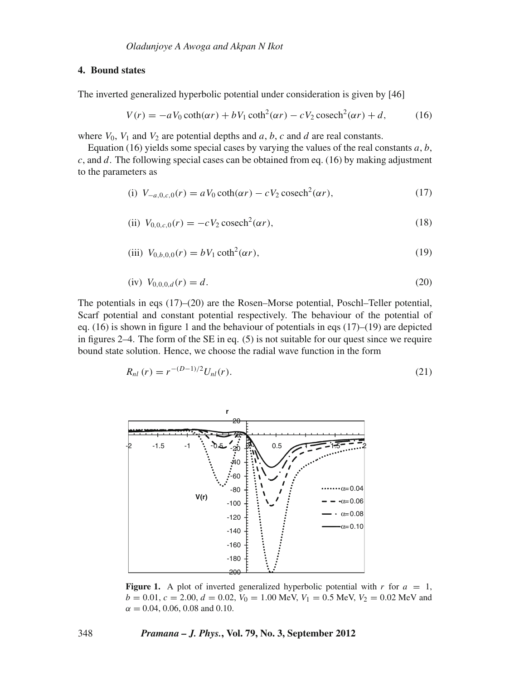## **4. Bound states**

The inverted generalized hyperbolic potential under consideration is given by [46]

$$
V(r) = -aV_0 \coth(\alpha r) + bV_1 \coth^2(\alpha r) - cV_2 \operatorname{cosech}^2(\alpha r) + d,\tag{16}
$$

where  $V_0$ ,  $V_1$  and  $V_2$  are potential depths and *a*, *b*, *c* and *d* are real constants.

Equation (16) yields some special cases by varying the values of the real constants *a*, *b*, *c*, and *d*. The following special cases can be obtained from eq. (16) by making adjustment to the parameters as

(i) 
$$
V_{-a,0,c,0}(r) = aV_0 \coth(\alpha r) - cV_2 \operatorname{cosech}^2(\alpha r)
$$
, (17)

(ii) 
$$
V_{0,0,c,0}(r) = -cV_2 \operatorname{cosech}^2(\alpha r),
$$
 (18)

(iii) 
$$
V_{0,b,0,0}(r) = bV_1 \coth^2(\alpha r)
$$
, (19)

$$
(iv) V_{0,0,0,d}(r) = d.
$$
\n(20)

The potentials in eqs (17)–(20) are the Rosen–Morse potential, Poschl–Teller potential, Scarf potential and constant potential respectively. The behaviour of the potential of eq. (16) is shown in figure 1 and the behaviour of potentials in eqs (17)–(19) are depicted in figures 2–4. The form of the SE in eq. (5) is not suitable for our quest since we require bound state solution. Hence, we choose the radial wave function in the form

$$
R_{nl}(r) = r^{-(D-1)/2} U_{nl}(r).
$$
 (21)



**Figure 1.** A plot of inverted generalized hyperbolic potential with  $r$  for  $a = 1$ ,  $b = 0.01$ ,  $c = 2.00$ ,  $d = 0.02$ ,  $V_0 = 1.00$  MeV,  $V_1 = 0.5$  MeV,  $V_2 = 0.02$  MeV and  $\alpha = 0.04, 0.06, 0.08$  and 0.10.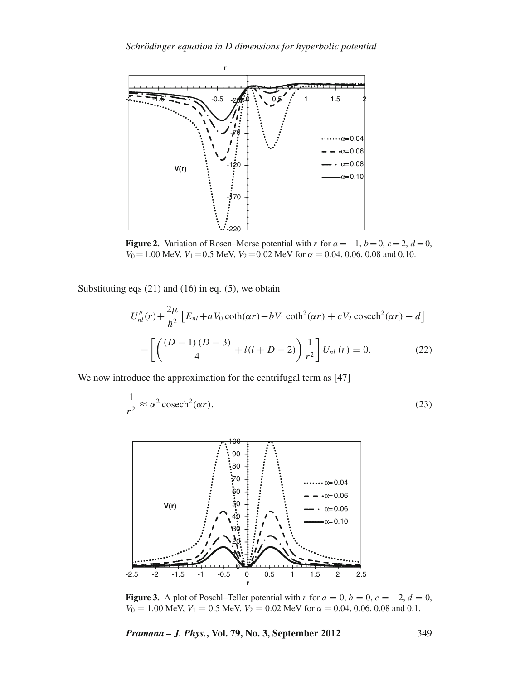

**Figure 2.** Variation of Rosen–Morse potential with *r* for  $a = -1$ ,  $b = 0$ ,  $c = 2$ ,  $d = 0$ ,  $V_0 = 1.00$  MeV,  $V_1 = 0.5$  MeV,  $V_2 = 0.02$  MeV for  $\alpha = 0.04, 0.06, 0.08$  and 0.10.

Substituting eqs  $(21)$  and  $(16)$  in eq.  $(5)$ , we obtain

$$
U''_{nl}(r) + \frac{2\mu}{\hbar^2} \left[ E_{nl} + aV_0 \coth(\alpha r) - bV_1 \coth^2(\alpha r) + cV_2 \operatorname{cosech}^2(\alpha r) - d \right]
$$

$$
- \left[ \left( \frac{(D-1)(D-3)}{4} + l(l+D-2) \right) \frac{1}{r^2} \right] U_{nl}(r) = 0. \tag{22}
$$

We now introduce the approximation for the centrifugal term as [47]

$$
\frac{1}{r^2} \approx \alpha^2 \operatorname{cosech}^2(\alpha r). \tag{23}
$$



**Figure 3.** A plot of Poschl–Teller potential with *r* for  $a = 0, b = 0, c = -2, d = 0$ ,  $V_0 = 1.00$  MeV,  $V_1 = 0.5$  MeV,  $V_2 = 0.02$  MeV for  $\alpha = 0.04, 0.06, 0.08$  and 0.1.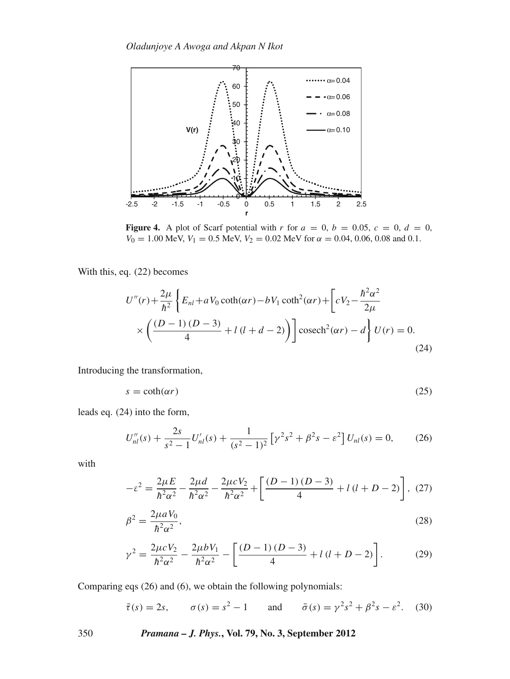

**Figure 4.** A plot of Scarf potential with *r* for  $a = 0$ ,  $b = 0.05$ ,  $c = 0$ ,  $d = 0$ ,  $V_0 = 1.00$  MeV,  $V_1 = 0.5$  MeV,  $V_2 = 0.02$  MeV for  $\alpha = 0.04$ , 0.06, 0.08 and 0.1.

With this, eq. (22) becomes

$$
U''(r) + \frac{2\mu}{\hbar^2} \left\{ E_{nl} + aV_0 \coth(\alpha r) - bV_1 \coth^2(\alpha r) + \left[ cV_2 - \frac{\hbar^2 \alpha^2}{2\mu} \times \left( \frac{(D-1)(D-3)}{4} + l(l+d-2) \right) \right] \csc^2(\alpha r) - d \right\} U(r) = 0.
$$
\n(24)

Introducing the transformation,

$$
s = \coth(\alpha r) \tag{25}
$$

leads eq. (24) into the form,

$$
U_{nl}''(s) + \frac{2s}{s^2 - 1} U_{nl}'(s) + \frac{1}{(s^2 - 1)^2} \left[ \gamma^2 s^2 + \beta^2 s - \varepsilon^2 \right] U_{nl}(s) = 0, \qquad (26)
$$

with

$$
-\varepsilon^2 = \frac{2\mu E}{\hbar^2 \alpha^2} - \frac{2\mu d}{\hbar^2 \alpha^2} - \frac{2\mu c V_2}{\hbar^2 \alpha^2} + \left[ \frac{(D-1)(D-3)}{4} + l(l+D-2) \right], (27)
$$

$$
\beta^2 = \frac{2\mu a V_0}{\hbar^2 \alpha^2},\tag{28}
$$

$$
\gamma^2 = \frac{2\mu c V_2}{\hbar^2 \alpha^2} - \frac{2\mu b V_1}{\hbar^2 \alpha^2} - \left[ \frac{(D-1)(D-3)}{4} + l(l+D-2) \right].
$$
 (29)

Comparing eqs (26) and (6), we obtain the following polynomials:

$$
\bar{\tau}(s) = 2s
$$
,  $\sigma(s) = s^2 - 1$  and  $\bar{\sigma}(s) = \gamma^2 s^2 + \beta^2 s - \varepsilon^2$ . (30)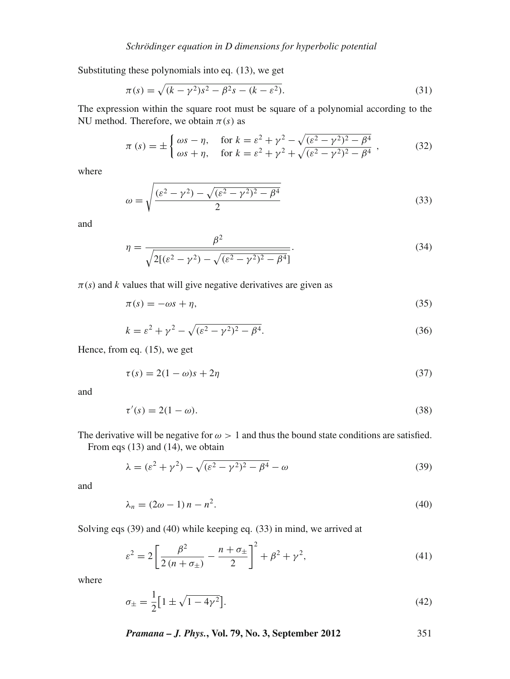Substituting these polynomials into eq. (13), we get

$$
\pi(s) = \sqrt{(k - \gamma^2)s^2 - \beta^2 s - (k - \varepsilon^2)}.
$$
\n(31)

The expression within the square root must be square of a polynomial according to the NU method. Therefore, we obtain  $\pi(s)$  as

$$
\pi (s) = \pm \begin{cases} \omega s - \eta, & \text{for } k = \varepsilon^2 + \gamma^2 - \sqrt{(\varepsilon^2 - \gamma^2)^2 - \beta^4} \\ \omega s + \eta, & \text{for } k = \varepsilon^2 + \gamma^2 + \sqrt{(\varepsilon^2 - \gamma^2)^2 - \beta^4} \end{cases},
$$
(32)

where

$$
\omega = \sqrt{\frac{(\varepsilon^2 - \gamma^2) - \sqrt{(\varepsilon^2 - \gamma^2)^2 - \beta^4}}{2}}\tag{33}
$$

and

$$
\eta = \frac{\beta^2}{\sqrt{2[(\varepsilon^2 - \gamma^2) - \sqrt{(\varepsilon^2 - \gamma^2)^2 - \beta^4}]}}.\tag{34}
$$

 $\pi(s)$  and *k* values that will give negative derivatives are given as

$$
\pi(s) = -\omega s + \eta,\tag{35}
$$

$$
k = \varepsilon^2 + \gamma^2 - \sqrt{(\varepsilon^2 - \gamma^2)^2 - \beta^4}.
$$
 (36)

Hence, from eq. (15), we get

$$
\tau(s) = 2(1 - \omega)s + 2\eta \tag{37}
$$

and

$$
\tau'(s) = 2(1 - \omega). \tag{38}
$$

The derivative will be negative for  $\omega > 1$  and thus the bound state conditions are satisfied. From eqs (13) and (14), we obtain

$$
\lambda = (\varepsilon^2 + \gamma^2) - \sqrt{(\varepsilon^2 - \gamma^2)^2 - \beta^4} - \omega
$$
\n(39)

and

$$
\lambda_n = (2\omega - 1)n - n^2. \tag{40}
$$

Solving eqs (39) and (40) while keeping eq. (33) in mind, we arrived at

$$
\varepsilon^{2} = 2\left[\frac{\beta^{2}}{2(n+\sigma_{\pm})} - \frac{n+\sigma_{\pm}}{2}\right]^{2} + \beta^{2} + \gamma^{2},\tag{41}
$$

where

$$
\sigma_{\pm} = \frac{1}{2} \left[ 1 \pm \sqrt{1 - 4\gamma^2} \right]. \tag{42}
$$

*Pramana – J. Phys.***, Vol. 79, No. 3, September 2012** 351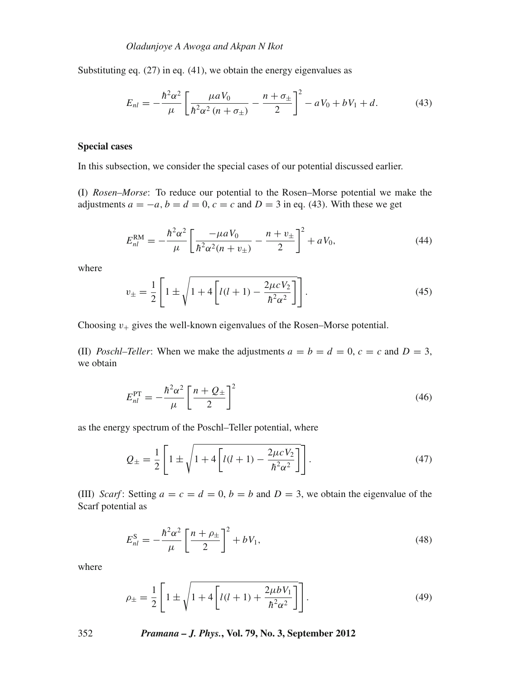Substituting eq.  $(27)$  in eq.  $(41)$ , we obtain the energy eigenvalues as

$$
E_{nl} = -\frac{\hbar^2 \alpha^2}{\mu} \left[ \frac{\mu a V_0}{\hbar^2 \alpha^2 (n + \sigma_{\pm})} - \frac{n + \sigma_{\pm}}{2} \right]^2 - a V_0 + b V_1 + d. \tag{43}
$$

## **Special cases**

In this subsection, we consider the special cases of our potential discussed earlier.

**(**I) *Rosen–Morse*: To reduce our potential to the Rosen–Morse potential we make the adjustments  $a = -a$ ,  $b = d = 0$ ,  $c = c$  and  $D = 3$  in eq. (43). With these we get

$$
E_{nl}^{\rm RM} = -\frac{\hbar^2 \alpha^2}{\mu} \left[ \frac{-\mu a V_0}{\hbar^2 \alpha^2 (n + v_{\pm})} - \frac{n + v_{\pm}}{2} \right]^2 + a V_0, \tag{44}
$$

where

$$
v_{\pm} = \frac{1}{2} \left[ 1 \pm \sqrt{1 + 4 \left[ l(l+1) - \frac{2\mu c V_2}{\hbar^2 \alpha^2} \right]} \right].
$$
 (45)

Choosing  $v_+$  gives the well-known eigenvalues of the Rosen–Morse potential.

**(II)** *Poschl–Teller*: When we make the adjustments  $a = b = d = 0$ ,  $c = c$  and  $D = 3$ , we obtain

$$
E_{nl}^{\rm PT} = -\frac{\hbar^2 \alpha^2}{\mu} \left[ \frac{n + Q_{\pm}}{2} \right]^2 \tag{46}
$$

as the energy spectrum of the Poschl–Teller potential, where

$$
Q_{\pm} = \frac{1}{2} \left[ 1 \pm \sqrt{1 + 4 \left[ l(l+1) - \frac{2\mu c V_2}{\hbar^2 \alpha^2} \right]} \right].
$$
 (47)

(III) *Scarf*: Setting  $a = c = d = 0$ ,  $b = b$  and  $D = 3$ , we obtain the eigenvalue of the Scarf potential as

$$
E_{nl}^{\rm S} = -\frac{\hbar^2 \alpha^2}{\mu} \left[ \frac{n + \rho_{\pm}}{2} \right]^2 + bV_1,\tag{48}
$$

where

$$
\rho_{\pm} = \frac{1}{2} \left[ 1 \pm \sqrt{1 + 4 \left[ l(l+1) + \frac{2\mu b V_1}{\hbar^2 \alpha^2} \right]} \right].
$$
\n(49)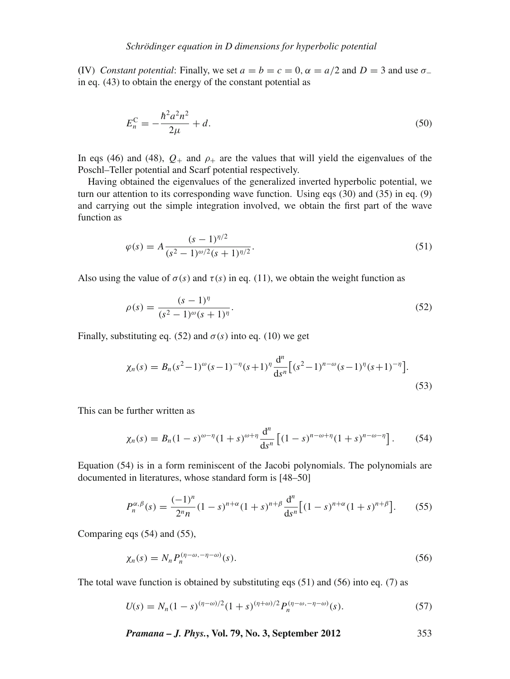**(IV)** *Constant potential:* Finally, we set  $a = b = c = 0$ ,  $\alpha = a/2$  and  $D = 3$  and use  $\sigma_{-}$ in eq. (43) to obtain the energy of the constant potential as

$$
E_n^{\rm C} = -\frac{\hbar^2 a^2 n^2}{2\mu} + d. \tag{50}
$$

In eqs (46) and (48),  $Q_+$  and  $\rho_+$  are the values that will yield the eigenvalues of the Poschl–Teller potential and Scarf potential respectively.

Having obtained the eigenvalues of the generalized inverted hyperbolic potential, we turn our attention to its corresponding wave function. Using eqs (30) and (35) in eq. (9) and carrying out the simple integration involved, we obtain the first part of the wave function as

$$
\varphi(s) = A \frac{(s-1)^{\eta/2}}{(s^2 - 1)^{\omega/2} (s+1)^{\eta/2}}.
$$
\n(51)

Also using the value of  $\sigma(s)$  and  $\tau(s)$  in eq. (11), we obtain the weight function as

$$
\rho(s) = \frac{(s-1)^{\eta}}{(s^2 - 1)^{\omega}(s+1)^{\eta}}.
$$
\n(52)

Finally, substituting eq. (52) and  $\sigma(s)$  into eq. (10) we get

$$
\chi_n(s) = B_n(s^2 - 1)^{\omega}(s - 1)^{-\eta}(s + 1)^{\eta} \frac{d^n}{ds^n} \left[ (s^2 - 1)^{n - \omega}(s - 1)^{\eta}(s + 1)^{-\eta} \right].
$$
\n(53)

This can be further written as

$$
\chi_n(s) = B_n (1-s)^{\omega - \eta} (1+s)^{\omega + \eta} \frac{d^n}{ds^n} \left[ (1-s)^{n-\omega + \eta} (1+s)^{n-\omega - \eta} \right].
$$
 (54)

Equation (54) is in a form reminiscent of the Jacobi polynomials. The polynomials are documented in literatures, whose standard form is [48–50]

$$
P_n^{\alpha,\beta}(s) = \frac{(-1)^n}{2^n n} (1-s)^{n+\alpha} (1+s)^{n+\beta} \frac{d^n}{ds^n} \big[ (1-s)^{n+\alpha} (1+s)^{n+\beta} \big].
$$
 (55)

Comparing eqs (54) and (55),

$$
\chi_n(s) = N_n P_n^{(\eta - \omega, -\eta - \omega)}(s). \tag{56}
$$

The total wave function is obtained by substituting eqs  $(51)$  and  $(56)$  into eq. (7) as

$$
U(s) = N_n(1-s)^{(\eta-\omega)/2}(1+s)^{(\eta+\omega)/2} P_n^{(\eta-\omega,-\eta-\omega)}(s).
$$
 (57)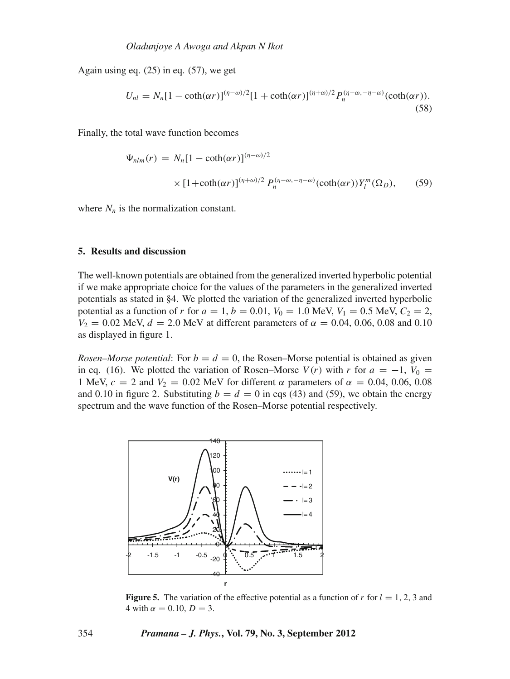Again using eq.  $(25)$  in eq.  $(57)$ , we get

$$
U_{nl} = N_n [1 - \coth(\alpha r)]^{(\eta - \omega)/2} [1 + \coth(\alpha r)]^{(\eta + \omega)/2} P_n^{(\eta - \omega, -\eta - \omega)}(\coth(\alpha r)).
$$
\n(58)

Finally, the total wave function becomes

$$
\Psi_{nlm}(r) = N_n [1 - \coth(\alpha r)]^{(\eta - \omega)/2}
$$
  
 
$$
\times [1 + \coth(\alpha r)]^{(\eta + \omega)/2} P_n^{(\eta - \omega, -\eta - \omega)}(\coth(\alpha r)) Y_l^m(\Omega_D), \qquad (59)
$$

where  $N_n$  is the normalization constant.

## **5. Results and discussion**

The well-known potentials are obtained from the generalized inverted hyperbolic potential if we make appropriate choice for the values of the parameters in the generalized inverted potentials as stated in §4. We plotted the variation of the generalized inverted hyperbolic potential as a function of *r* for  $a = 1$ ,  $b = 0.01$ ,  $V_0 = 1.0$  MeV,  $V_1 = 0.5$  MeV,  $C_2 = 2$ ,  $V_2 = 0.02$  MeV,  $d = 2.0$  MeV at different parameters of  $\alpha = 0.04, 0.06, 0.08$  and 0.10 as displayed in figure 1.

*Rosen–Morse potential*: For  $b = d = 0$ , the Rosen–Morse potential is obtained as given in eq. (16). We plotted the variation of Rosen–Morse  $V(r)$  with  $r$  for  $a = -1$ ,  $V_0 =$ 1 MeV,  $c = 2$  and  $V_2 = 0.02$  MeV for different  $\alpha$  parameters of  $\alpha = 0.04, 0.06, 0.08$ and 0.10 in figure 2. Substituting  $b = d = 0$  in eqs (43) and (59), we obtain the energy spectrum and the wave function of the Rosen–Morse potential respectively.



**Figure 5.** The variation of the effective potential as a function of  $r$  for  $l = 1, 2, 3$  and  $4 \text{ with } \alpha = 0.10, D = 3.$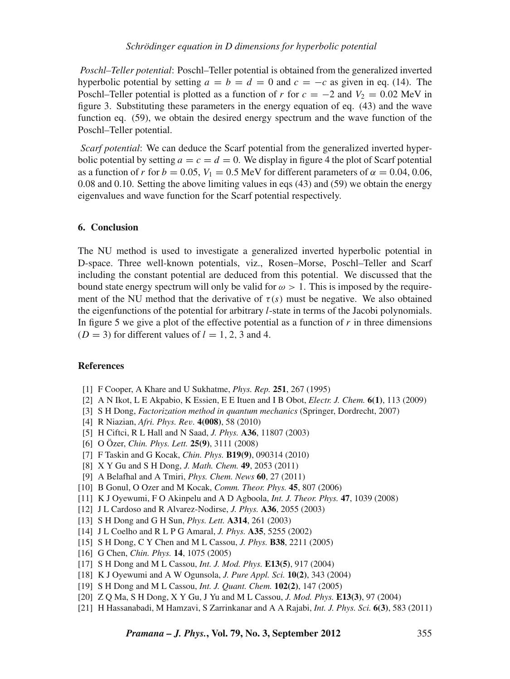*Poschl–Teller potential*: Poschl–Teller potential is obtained from the generalized inverted hyperbolic potential by setting  $a = b = d = 0$  and  $c = -c$  as given in eq. (14). The Poschl–Teller potential is plotted as a function of *r* for  $c = -2$  and  $V_2 = 0.02$  MeV in figure 3. Substituting these parameters in the energy equation of eq. (43) and the wave function eq. (59), we obtain the desired energy spectrum and the wave function of the Poschl–Teller potential.

*Scarf potential*: We can deduce the Scarf potential from the generalized inverted hyperbolic potential by setting  $a = c = d = 0$ . We display in figure 4 the plot of Scarf potential as a function of *r* for  $b = 0.05$ ,  $V_1 = 0.5$  MeV for different parameters of  $\alpha = 0.04, 0.06$ , 0.08 and 0.10. Setting the above limiting values in eqs (43) and (59) we obtain the energy eigenvalues and wave function for the Scarf potential respectively.

## **6. Conclusion**

The NU method is used to investigate a generalized inverted hyperbolic potential in D-space. Three well-known potentials, viz., Rosen–Morse, Poschl–Teller and Scarf including the constant potential are deduced from this potential. We discussed that the bound state energy spectrum will only be valid for  $\omega > 1$ . This is imposed by the requirement of the NU method that the derivative of  $\tau(s)$  must be negative. We also obtained the eigenfunctions of the potential for arbitrary *l*-state in terms of the Jacobi polynomials. In figure 5 we give a plot of the effective potential as a function of  $r$  in three dimensions  $(D = 3)$  for different values of  $l = 1, 2, 3$  and 4.

## **References**

- [1] F Cooper, A Khare and U Sukhatme, *Phys. Rep.* **251**, 267 (1995)
- [2] A N Ikot, L E Akpabio, K Essien, E E Ituen and I B Obot, *Electr. J. Chem.* **6(1)**, 113 (2009)
- [3] S H Dong, *Factorization method in quantum mechanics* (Springer, Dordrecht, 2007)
- [4] R Niazian, *Afri. Phys. Re*v*.* **4(008)**, 58 (2010)
- [5] H Ciftci, R L Hall and N Saad, *J. Phys.* **A36**, 11807 (2003)
- [6] O Özer, *Chin. Phys. Lett.* **25(9)**, 3111 (2008)
- [7] F Taskin and G Kocak, *Chin. Phys.* **B19(9)**, 090314 (2010)
- [8] X Y Gu and S H Dong, *J. Math. Chem.* **49**, 2053 (2011)
- [9] A Belafhal and A Tmiri, *Phys. Chem. News* **60**, 27 (2011)
- [10] B Gonul, O Ozer and M Kocak, *Comm. Theor. Phys.* **45**, 807 (2006)
- [11] K J Oyewumi, F O Akinpelu and A D Agboola, *Int. J. Theor. Phys.* **47**, 1039 (2008)
- [12] J L Cardoso and R Alvarez-Nodirse, *J. Phys.* **A36**, 2055 (2003)
- [13] S H Dong and G H Sun, *Phys. Lett.* **A314**, 261 (2003)
- [14] J L Coelho and R L P G Amaral, *J. Phys.* **A35**, 5255 (2002)
- [15] S H Dong, C Y Chen and M L Cassou, *J. Phys.* **B38**, 2211 (2005)
- [16] G Chen, *Chin. Phys.* **14**, 1075 (2005)
- [17] S H Dong and M L Cassou, *Int. J. Mod. Phys.* **E13(5)**, 917 (2004)
- [18] K J Oyewumi and A W Ogunsola, *J. Pure Appl. Sci.* **10(2)**, 343 (2004)
- [19] S H Dong and M L Cassou, *Int. J. Quant. Chem.* **102(2)**, 147 (2005)
- [20] Z Q Ma, S H Dong, X Y Gu, J Yu and M L Cassou, *J. Mod. Phys.* **E13(3)**, 97 (2004)
- [21] H Hassanabadi, M Hamzavi, S Zarrinkanar and A A Rajabi, *Int. J. Phys. Sci.* **6(3)**, 583 (2011)